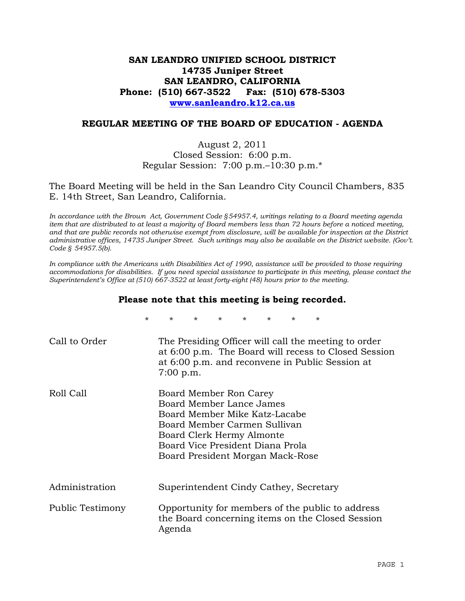# **SAN LEANDRO UNIFIED SCHOOL DISTRICT 14735 Juniper Street SAN LEANDRO, CALIFORNIA Phone: (510) 667-3522 Fax: (510) 678-5303 www.sanleandro.k12.ca.us**

## **REGULAR MEETING OF THE BOARD OF EDUCATION - AGENDA**

## August 2, 2011 Closed Session: 6:00 p.m. Regular Session: 7:00 p.m.–10:30 p.m.\*

The Board Meeting will be held in the San Leandro City Council Chambers, 835 E. 14th Street, San Leandro, California.

*In accordance with the Brown Act, Government Code §54957.4, writings relating to a Board meeting agenda item that are distributed to at least a majority of Board members less than 72 hours before a noticed meeting, and that are public records not otherwise exempt from disclosure, will be available for inspection at the District administrative offices, 14735 Juniper Street. Such writings may also be available on the District website. (Gov't. Code § 54957.5(b).* 

*In compliance with the Americans with Disabilities Act of 1990, assistance will be provided to those requiring accommodations for disabilities. If you need special assistance to participate in this meeting, please contact the Superintendent's Office at (510) 667-3522 at least forty-eight (48) hours prior to the meeting.* 

#### **Please note that this meeting is being recorded.**

|                  | $\star$ | $\star$     | $\star$                                                                                                                                                                                                                  | $\star$ | $\star$ | $\star$ | $\star$ | $^\star$ |                                                                                                         |                                                      |  |
|------------------|---------|-------------|--------------------------------------------------------------------------------------------------------------------------------------------------------------------------------------------------------------------------|---------|---------|---------|---------|----------|---------------------------------------------------------------------------------------------------------|------------------------------------------------------|--|
| Call to Order    |         | $7:00$ p.m. |                                                                                                                                                                                                                          |         |         |         |         |          | The Presiding Officer will call the meeting to order<br>at 6:00 p.m. and reconvene in Public Session at | at 6:00 p.m. The Board will recess to Closed Session |  |
| Roll Call        |         |             | Board Member Ron Carey<br>Board Member Lance James<br>Board Member Mike Katz-Lacabe<br>Board Member Carmen Sullivan<br>Board Clerk Hermy Almonte<br>Board Vice President Diana Prola<br>Board President Morgan Mack-Rose |         |         |         |         |          |                                                                                                         |                                                      |  |
| Administration   |         |             | Superintendent Cindy Cathey, Secretary                                                                                                                                                                                   |         |         |         |         |          |                                                                                                         |                                                      |  |
| Public Testimony |         | Agenda      |                                                                                                                                                                                                                          |         |         |         |         |          | Opportunity for members of the public to address<br>the Board concerning items on the Closed Session    |                                                      |  |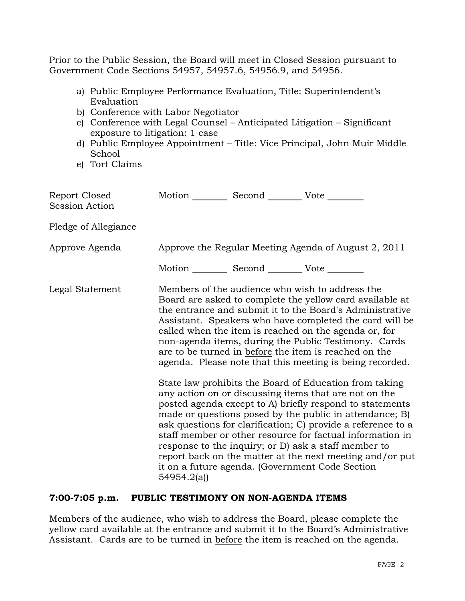Prior to the Public Session, the Board will meet in Closed Session pursuant to Government Code Sections 54957, 54957.6, 54956.9, and 54956.

- a) Public Employee Performance Evaluation, Title: Superintendent's Evaluation
- b) Conference with Labor Negotiator
- c) Conference with Legal Counsel Anticipated Litigation Significant exposure to litigation: 1 case
- d) Public Employee Appointment Title: Vice Principal, John Muir Middle School
- e) Tort Claims

| Report Closed<br><b>Session Action</b> |            | Motion __________ Second __________ Vote ________ |                                                                                                                                                                                                                                                                                                                                                                                                                                                                                                                                                                                                                                                                                                                                                                                                                                                                                                                                                                     |
|----------------------------------------|------------|---------------------------------------------------|---------------------------------------------------------------------------------------------------------------------------------------------------------------------------------------------------------------------------------------------------------------------------------------------------------------------------------------------------------------------------------------------------------------------------------------------------------------------------------------------------------------------------------------------------------------------------------------------------------------------------------------------------------------------------------------------------------------------------------------------------------------------------------------------------------------------------------------------------------------------------------------------------------------------------------------------------------------------|
| Pledge of Allegiance                   |            |                                                   |                                                                                                                                                                                                                                                                                                                                                                                                                                                                                                                                                                                                                                                                                                                                                                                                                                                                                                                                                                     |
| Approve Agenda                         |            |                                                   | Approve the Regular Meeting Agenda of August 2, 2011                                                                                                                                                                                                                                                                                                                                                                                                                                                                                                                                                                                                                                                                                                                                                                                                                                                                                                                |
|                                        |            | Motion __________ Second __________ Vote ________ |                                                                                                                                                                                                                                                                                                                                                                                                                                                                                                                                                                                                                                                                                                                                                                                                                                                                                                                                                                     |
| Legal Statement                        |            |                                                   | Members of the audience who wish to address the<br>Board are asked to complete the yellow card available at<br>the entrance and submit it to the Board's Administrative<br>Assistant. Speakers who have completed the card will be<br>called when the item is reached on the agenda or, for<br>non-agenda items, during the Public Testimony. Cards<br>are to be turned in before the item is reached on the<br>agenda. Please note that this meeting is being recorded.<br>State law prohibits the Board of Education from taking<br>any action on or discussing items that are not on the<br>posted agenda except to A) briefly respond to statements<br>made or questions posed by the public in attendance; B)<br>ask questions for clarification; C) provide a reference to a<br>staff member or other resource for factual information in<br>response to the inquiry; or D) ask a staff member to<br>report back on the matter at the next meeting and/or put |
|                                        | 54954.2(a) |                                                   | it on a future agenda. (Government Code Section                                                                                                                                                                                                                                                                                                                                                                                                                                                                                                                                                                                                                                                                                                                                                                                                                                                                                                                     |

# **7:00-7:05 p.m. PUBLIC TESTIMONY ON NON-AGENDA ITEMS**

Members of the audience, who wish to address the Board, please complete the yellow card available at the entrance and submit it to the Board's Administrative Assistant. Cards are to be turned in before the item is reached on the agenda.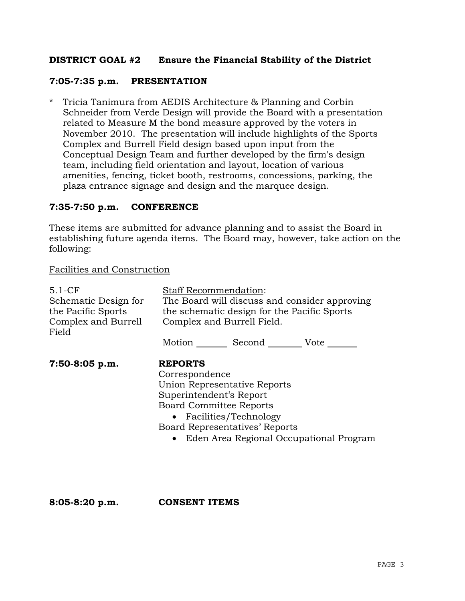# **DISTRICT GOAL #2 Ensure the Financial Stability of the District**

## **7:05-7:35 p.m. PRESENTATION**

\* Tricia Tanimura from AEDIS Architecture & Planning and Corbin Schneider from Verde Design will provide the Board with a presentation related to Measure M the bond measure approved by the voters in November 2010. The presentation will include highlights of the Sports Complex and Burrell Field design based upon input from the Conceptual Design Team and further developed by the firm's design team, including field orientation and layout, location of various amenities, fencing, ticket booth, restrooms, concessions, parking, the plaza entrance signage and design and the marquee design.

## **7:35-7:50 p.m. CONFERENCE**

These items are submitted for advance planning and to assist the Board in establishing future agenda items. The Board may, however, take action on the following:

#### Facilities and Construction

| $5.1-CF$                     | Staff Recommendation:                         |                                            |  |  |  |
|------------------------------|-----------------------------------------------|--------------------------------------------|--|--|--|
| Schematic Design for         | The Board will discuss and consider approving |                                            |  |  |  |
| the Pacific Sports           | the schematic design for the Pacific Sports   |                                            |  |  |  |
| Complex and Burrell<br>Field | Complex and Burrell Field.                    |                                            |  |  |  |
|                              |                                               | Motion _______ Second _________ Vote _____ |  |  |  |
| $7:50-8:05$ p.m.             | <b>REPORTS</b>                                |                                            |  |  |  |
|                              | Correspondence                                |                                            |  |  |  |
|                              | Union Representative Reports                  |                                            |  |  |  |
|                              | Superintendent's Report                       |                                            |  |  |  |
|                              | <b>Board Committee Reports</b>                |                                            |  |  |  |
|                              | • Facilities/Technology                       |                                            |  |  |  |
|                              | Board Representatives' Reports                |                                            |  |  |  |
|                              | Eden Area Regional Occupational Program       |                                            |  |  |  |
|                              |                                               |                                            |  |  |  |
|                              |                                               |                                            |  |  |  |

**8:05-8:20 p.m. CONSENT ITEMS**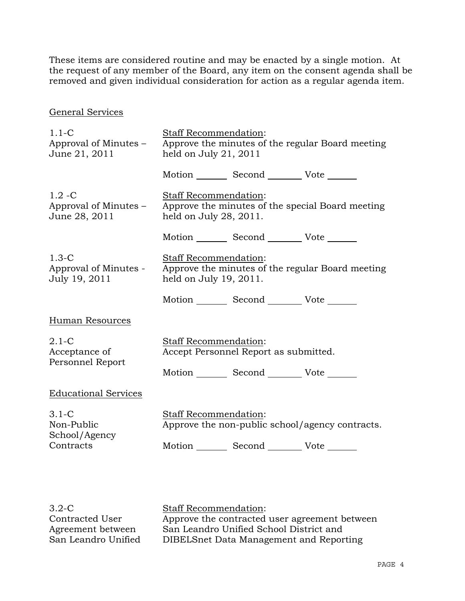These items are considered routine and may be enacted by a single motion. At the request of any member of the Board, any item on the consent agenda shall be removed and given individual consideration for action as a regular agenda item.

## General Services

| $1.1-C$<br>Approval of Minutes –<br>June 21, 2011     | Staff Recommendation:<br>Approve the minutes of the regular Board meeting<br>held on July 21, $2011$                        |  |
|-------------------------------------------------------|-----------------------------------------------------------------------------------------------------------------------------|--|
|                                                       | Motion _________ Second __________ Vote _______                                                                             |  |
| $1.2 - C$<br>Approval of Minutes -<br>June 28, 2011   | <b>Staff Recommendation:</b><br>Approve the minutes of the special Board meeting<br>held on July 28, 2011.                  |  |
|                                                       | Motion _________ Second __________ Vote _______                                                                             |  |
| $1.3-C$<br>Approval of Minutes -<br>July 19, 2011     | Staff Recommendation:<br>Approve the minutes of the regular Board meeting<br>held on July 19, 2011.                         |  |
|                                                       | Motion _________ Second __________ Vote _______                                                                             |  |
| Human Resources                                       |                                                                                                                             |  |
| $2.1 - C$<br>Acceptance of<br>Personnel Report        | Staff Recommendation:<br>Accept Personnel Report as submitted.                                                              |  |
|                                                       | Motion _________ Second __________ Vote _______                                                                             |  |
| <b>Educational Services</b>                           |                                                                                                                             |  |
| $3.1 - C$<br>Non-Public<br>School/Agency<br>Contracts | Staff Recommendation:<br>Approve the non-public school/agency contracts.<br>Motion _________ Second __________ Vote _______ |  |
|                                                       |                                                                                                                             |  |

3.2-C Contracted User Agreement between San Leandro Unified Staff Recommendation: Approve the contracted user agreement between San Leandro Unified School District and DIBELSnet Data Management and Reporting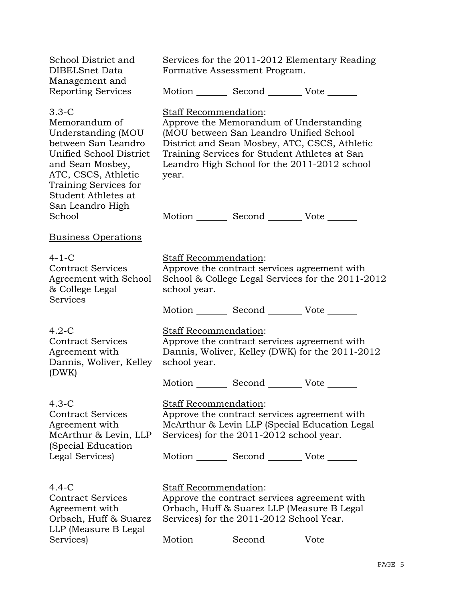| Services for the 2011-2012 Elementary Reading<br>Formative Assessment Program. |  |                                                                                                                                                                                                                                                                                                                                                                                                                                                                                                                                                                                                                                                                                                                                                                                                                                                                                                                                                                                                                                             |  |
|--------------------------------------------------------------------------------|--|---------------------------------------------------------------------------------------------------------------------------------------------------------------------------------------------------------------------------------------------------------------------------------------------------------------------------------------------------------------------------------------------------------------------------------------------------------------------------------------------------------------------------------------------------------------------------------------------------------------------------------------------------------------------------------------------------------------------------------------------------------------------------------------------------------------------------------------------------------------------------------------------------------------------------------------------------------------------------------------------------------------------------------------------|--|
|                                                                                |  |                                                                                                                                                                                                                                                                                                                                                                                                                                                                                                                                                                                                                                                                                                                                                                                                                                                                                                                                                                                                                                             |  |
| year.                                                                          |  |                                                                                                                                                                                                                                                                                                                                                                                                                                                                                                                                                                                                                                                                                                                                                                                                                                                                                                                                                                                                                                             |  |
|                                                                                |  |                                                                                                                                                                                                                                                                                                                                                                                                                                                                                                                                                                                                                                                                                                                                                                                                                                                                                                                                                                                                                                             |  |
|                                                                                |  |                                                                                                                                                                                                                                                                                                                                                                                                                                                                                                                                                                                                                                                                                                                                                                                                                                                                                                                                                                                                                                             |  |
| school year.                                                                   |  |                                                                                                                                                                                                                                                                                                                                                                                                                                                                                                                                                                                                                                                                                                                                                                                                                                                                                                                                                                                                                                             |  |
|                                                                                |  |                                                                                                                                                                                                                                                                                                                                                                                                                                                                                                                                                                                                                                                                                                                                                                                                                                                                                                                                                                                                                                             |  |
| school year.<br>Dannis, Woliver, Kelley                                        |  |                                                                                                                                                                                                                                                                                                                                                                                                                                                                                                                                                                                                                                                                                                                                                                                                                                                                                                                                                                                                                                             |  |
|                                                                                |  |                                                                                                                                                                                                                                                                                                                                                                                                                                                                                                                                                                                                                                                                                                                                                                                                                                                                                                                                                                                                                                             |  |
|                                                                                |  |                                                                                                                                                                                                                                                                                                                                                                                                                                                                                                                                                                                                                                                                                                                                                                                                                                                                                                                                                                                                                                             |  |
|                                                                                |  |                                                                                                                                                                                                                                                                                                                                                                                                                                                                                                                                                                                                                                                                                                                                                                                                                                                                                                                                                                                                                                             |  |
|                                                                                |  |                                                                                                                                                                                                                                                                                                                                                                                                                                                                                                                                                                                                                                                                                                                                                                                                                                                                                                                                                                                                                                             |  |
|                                                                                |  | Motion Second Vote<br>Staff Recommendation:<br>Approve the Memorandum of Understanding<br>(MOU between San Leandro Unified School<br>District and Sean Mosbey, ATC, CSCS, Athletic<br>Training Services for Student Athletes at San<br>Leandro High School for the 2011-2012 school<br>Motion Second Vote<br><b>Staff Recommendation:</b><br>Approve the contract services agreement with<br>School & College Legal Services for the 2011-2012<br>Motion Second Vote<br>Staff Recommendation:<br>Approve the contract services agreement with<br>Dannis, Woliver, Kelley (DWK) for the 2011-2012<br>Motion _________ Second __________ Vote _______<br>Staff Recommendation:<br>Approve the contract services agreement with<br>McArthur & Levin LLP (Special Education Legal<br>Services) for the 2011-2012 school year.<br>Motion Second Vote<br>Staff Recommendation:<br>Approve the contract services agreement with<br>Orbach, Huff & Suarez LLP (Measure B Legal<br>Services) for the 2011-2012 School Year.<br>Motion<br>Second Vote |  |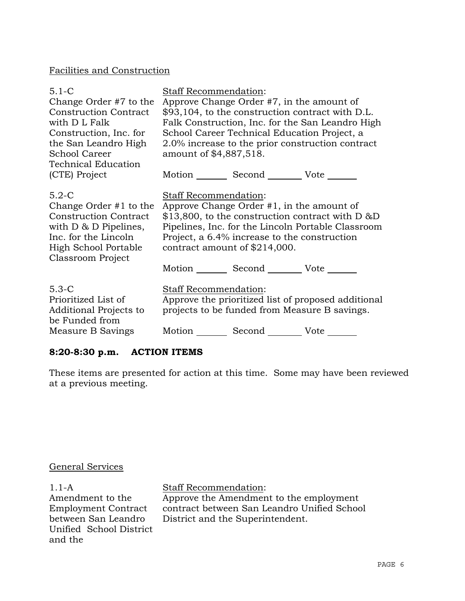# Facilities and Construction

| $5.1 - C$<br>Change Order #7 to the<br><b>Construction Contract</b><br>with D L Falk<br>Construction, Inc. for<br>the San Leandro High<br><b>School Career</b><br><b>Technical Education</b><br>(CTE) Project | Staff Recommendation:<br>Approve Change Order #7, in the amount of<br>\$93,104, to the construction contract with D.L.<br>Falk Construction, Inc. for the San Leandro High<br>School Career Technical Education Project, a<br>2.0% increase to the prior construction contract<br>amount of \$4,887,518.<br>Motion _________ Second __________ Vote _______ |
|---------------------------------------------------------------------------------------------------------------------------------------------------------------------------------------------------------------|-------------------------------------------------------------------------------------------------------------------------------------------------------------------------------------------------------------------------------------------------------------------------------------------------------------------------------------------------------------|
| $5.2-C$<br>Change Order #1 to the<br><b>Construction Contract</b><br>with $D \& D$ Pipelines,<br>Inc. for the Lincoln<br><b>High School Portable</b><br>Classroom Project                                     | Staff Recommendation:<br>Approve Change Order $#1$ , in the amount of<br>$$13,800$ , to the construction contract with D &D<br>Pipelines, Inc. for the Lincoln Portable Classroom<br>Project, a 6.4% increase to the construction<br>contract amount of \$214,000.<br>Motion _________ Second _________ Vote _______                                        |
| $5.3-C$<br>Prioritized List of<br>Additional Projects to<br>be Funded from<br>Measure B Savings                                                                                                               | Staff Recommendation:<br>Approve the prioritized list of proposed additional<br>projects to be funded from Measure B savings.<br>Motion Second Vote                                                                                                                                                                                                         |

# **8:20-8:30 p.m. ACTION ITEMS**

These items are presented for action at this time. Some may have been reviewed at a previous meeting.

# General Services

1.1-A Amendment to the Employment Contract between San Leandro Unified School District and the

Staff Recommendation: Approve the Amendment to the employment contract between San Leandro Unified School

District and the Superintendent.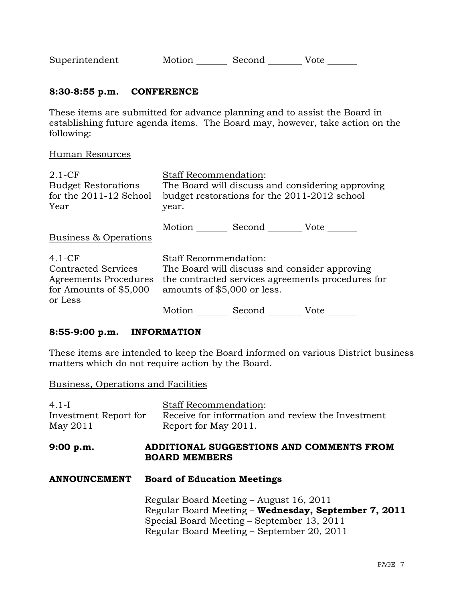| Superintendent | Motion | Second | Vote |
|----------------|--------|--------|------|
|                |        |        |      |

# **8:30-8:55 p.m. CONFERENCE**

These items are submitted for advance planning and to assist the Board in establishing future agenda items. The Board may, however, take action on the following:

#### Human Resources

| $2.1-CF$                   | <b>Staff Recommendation:</b>                  |        |                                                   |
|----------------------------|-----------------------------------------------|--------|---------------------------------------------------|
| <b>Budget Restorations</b> |                                               |        | The Board will discuss and considering approving  |
| for the 2011-12 School     | budget restorations for the 2011-2012 school  |        |                                                   |
| Year                       | year.                                         |        |                                                   |
|                            |                                               |        |                                                   |
| Business & Operations      | Motion Second Vote                            |        |                                                   |
|                            |                                               |        |                                                   |
| $4.1-CF$                   | <b>Staff Recommendation:</b>                  |        |                                                   |
| <b>Contracted Services</b> | The Board will discuss and consider approving |        |                                                   |
| Agreements Procedures      |                                               |        | the contracted services agreements procedures for |
| for Amounts of $$5,000$    | amounts of \$5,000 or less.                   |        |                                                   |
| or Less                    |                                               |        |                                                   |
|                            | Motion                                        | Second | Vote                                              |

## **8:55-9:00 p.m. INFORMATION**

These items are intended to keep the Board informed on various District business matters which do not require action by the Board.

|  |  |  | Business, Operations and Facilities |
|--|--|--|-------------------------------------|
|--|--|--|-------------------------------------|

| $4.1-I$<br>Investment Report for<br>May 2011 | <b>Staff Recommendation:</b><br>Receive for information and review the Investment<br>Report for May 2011.                                                                                   |
|----------------------------------------------|---------------------------------------------------------------------------------------------------------------------------------------------------------------------------------------------|
| 9:00 p.m.                                    | ADDITIONAL SUGGESTIONS AND COMMENTS FROM<br><b>BOARD MEMBERS</b>                                                                                                                            |
| <b>ANNOUNCEMENT</b>                          | <b>Board of Education Meetings</b>                                                                                                                                                          |
|                                              | Regular Board Meeting – August 16, 2011<br>Regular Board Meeting - Wednesday, September 7, 2011<br>Special Board Meeting – September 13, 2011<br>Regular Board Meeting – September 20, 2011 |